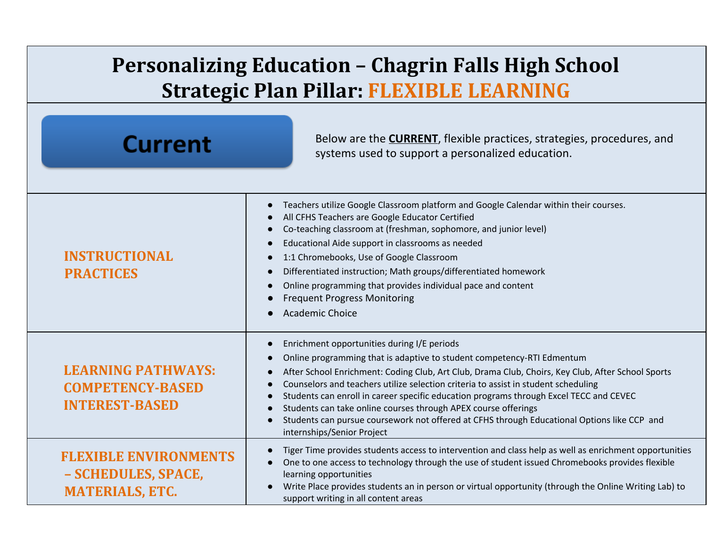## **Personalizing Education – Chagrin Falls High School Strategic Plan Pillar: FLEXIBLE LEARNING**

| <b>Current</b>                                                                | Below are the <b>CURRENT</b> , flexible practices, strategies, procedures, and<br>systems used to support a personalized education.                                                                                                                                                                                                                                                                                                                                                                                                                                                                                                              |
|-------------------------------------------------------------------------------|--------------------------------------------------------------------------------------------------------------------------------------------------------------------------------------------------------------------------------------------------------------------------------------------------------------------------------------------------------------------------------------------------------------------------------------------------------------------------------------------------------------------------------------------------------------------------------------------------------------------------------------------------|
| <b>INSTRUCTIONAL</b><br><b>PRACTICES</b>                                      | Teachers utilize Google Classroom platform and Google Calendar within their courses.<br>$\bullet$<br>All CFHS Teachers are Google Educator Certified<br>Co-teaching classroom at (freshman, sophomore, and junior level)<br>Educational Aide support in classrooms as needed<br>1:1 Chromebooks, Use of Google Classroom<br>Differentiated instruction; Math groups/differentiated homework<br>$\bullet$<br>Online programming that provides individual pace and content<br><b>Frequent Progress Monitoring</b><br><b>Academic Choice</b>                                                                                                        |
| <b>LEARNING PATHWAYS:</b><br><b>COMPETENCY-BASED</b><br><b>INTEREST-BASED</b> | Enrichment opportunities during I/E periods<br>$\bullet$<br>Online programming that is adaptive to student competency-RTI Edmentum<br>After School Enrichment: Coding Club, Art Club, Drama Club, Choirs, Key Club, After School Sports<br>Counselors and teachers utilize selection criteria to assist in student scheduling<br>Students can enroll in career specific education programs through Excel TECC and CEVEC<br>Students can take online courses through APEX course offerings<br>$\bullet$<br>Students can pursue coursework not offered at CFHS through Educational Options like CCP and<br>$\bullet$<br>internships/Senior Project |
| <b>FLEXIBLE ENVIRONMENTS</b><br>- SCHEDULES, SPACE,<br><b>MATERIALS, ETC.</b> | Tiger Time provides students access to intervention and class help as well as enrichment opportunities<br>$\bullet$<br>One to one access to technology through the use of student issued Chromebooks provides flexible<br>$\bullet$<br>learning opportunities<br>Write Place provides students an in person or virtual opportunity (through the Online Writing Lab) to<br>$\bullet$<br>support writing in all content areas                                                                                                                                                                                                                      |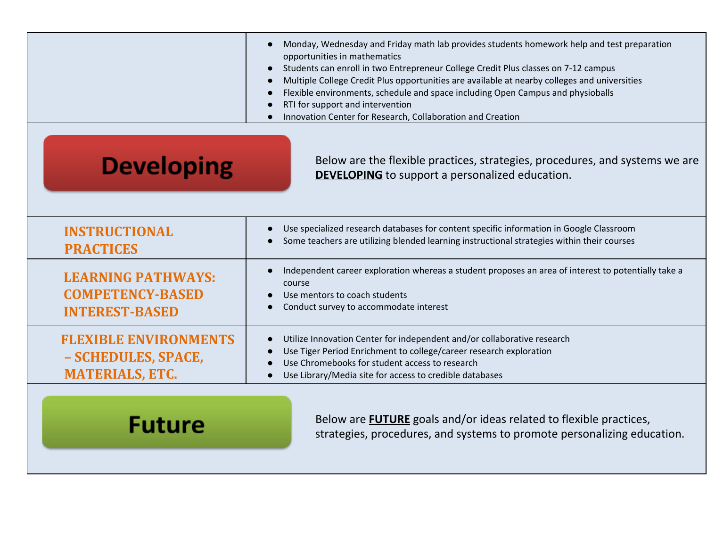|                                                                               | Monday, Wednesday and Friday math lab provides students homework help and test preparation<br>opportunities in mathematics<br>Students can enroll in two Entrepreneur College Credit Plus classes on 7-12 campus<br>Multiple College Credit Plus opportunities are available at nearby colleges and universities<br>Flexible environments, schedule and space including Open Campus and physioballs<br>RTI for support and intervention<br>Innovation Center for Research, Collaboration and Creation |
|-------------------------------------------------------------------------------|-------------------------------------------------------------------------------------------------------------------------------------------------------------------------------------------------------------------------------------------------------------------------------------------------------------------------------------------------------------------------------------------------------------------------------------------------------------------------------------------------------|
| <b>Developing</b>                                                             | Below are the flexible practices, strategies, procedures, and systems we are<br><b>DEVELOPING</b> to support a personalized education.                                                                                                                                                                                                                                                                                                                                                                |
| <b>INSTRUCTIONAL</b><br><b>PRACTICES</b>                                      | Use specialized research databases for content specific information in Google Classroom<br>Some teachers are utilizing blended learning instructional strategies within their courses                                                                                                                                                                                                                                                                                                                 |
| <b>LEARNING PATHWAYS:</b><br><b>COMPETENCY-BASED</b><br><b>INTEREST-BASED</b> | Independent career exploration whereas a student proposes an area of interest to potentially take a<br>course<br>Use mentors to coach students<br>Conduct survey to accommodate interest                                                                                                                                                                                                                                                                                                              |
| <b>FLEXIBLE ENVIRONMENTS</b><br>- SCHEDULES, SPACE,<br><b>MATERIALS, ETC.</b> | Utilize Innovation Center for independent and/or collaborative research<br>Use Tiger Period Enrichment to college/career research exploration<br>Use Chromebooks for student access to research<br>Use Library/Media site for access to credible databases                                                                                                                                                                                                                                            |
| Future                                                                        | Below are <b>FUTURE</b> goals and/or ideas related to flexible practices,<br>strategies, procedures, and systems to promote personalizing education.                                                                                                                                                                                                                                                                                                                                                  |